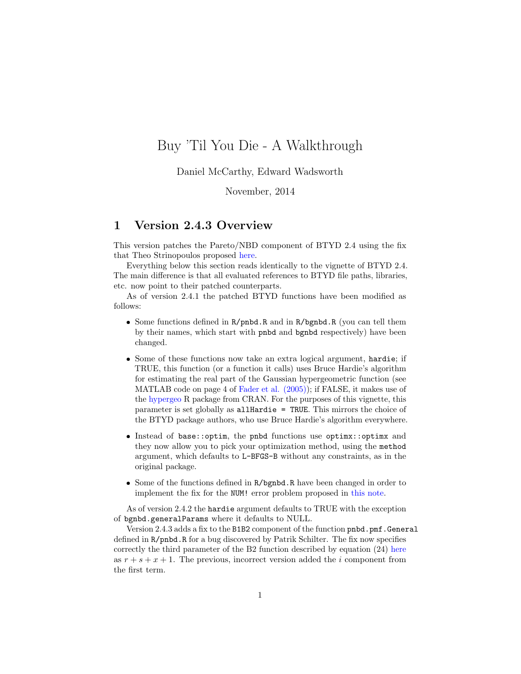# Buy 'Til You Die - A Walkthrough

Daniel McCarthy, Edward Wadsworth

November, 2014

## 1 Version 2.4.3 Overview

This version patches the Pareto/NBD component of BTYD 2.4 using the fix that Theo Strinopoulos proposed [here.](https://github.com/theofilos/BTYD)

Everything below this section reads identically to the vignette of BTYD 2.4. The main difference is that all evaluated references to BTYD file paths, libraries, etc. now point to their patched counterparts.

As of version 2.4.1 the patched BTYD functions have been modified as follows:

- Some functions defined in R/pnbd.R and in R/bgnbd.R (you can tell them by their names, which start with pnbd and bgnbd respectively) have been changed.
- Some of these functions now take an extra logical argument, hardie; if TRUE, this function (or a function it calls) uses Bruce Hardie's algorithm for estimating the real part of the Gaussian hypergeometric function (see MATLAB code on page 4 of [Fader et al. \(2005\)\)](http://brucehardie.com/notes/008/pareto_nbd_MATLAB.pdf); if FALSE, it makes use of the [hypergeo](https://cran.r-project.org/web/packages/hypergeo/index.html) R package from CRAN. For the purposes of this vignette, this parameter is set globally as allHardie = TRUE. This mirrors the choice of the BTYD package authors, who use Bruce Hardie's algorithm everywhere.
- Instead of base::optim, the pnbd functions use optimx::optimx and they now allow you to pick your optimization method, using the method argument, which defaults to L-BFGS-B without any constraints, as in the original package.
- Some of the functions defined in R/bgnbd.R have been changed in order to implement the fix for the NUM! error problem proposed in [this note.](http://www.brucehardie.com/notes/027/bgnbd_num_error.pdf)

As of version 2.4.2 the hardie argument defaults to TRUE with the exception of bgnbd.generalParams where it defaults to NULL.

Version 2.4.3 adds a fix to the B1B2 component of the function pnbd.pmf.General defined in R/pnbd.R for a bug discovered by Patrik Schilter. The fix now specifies correctly the third parameter of the B2 function described by equation (24) [here](https://www.brucehardie.com/notes/013/Pareto_NBD_interval_pmf_rev.pdf) as  $r + s + x + 1$ . The previous, incorrect version added the i component from the first term.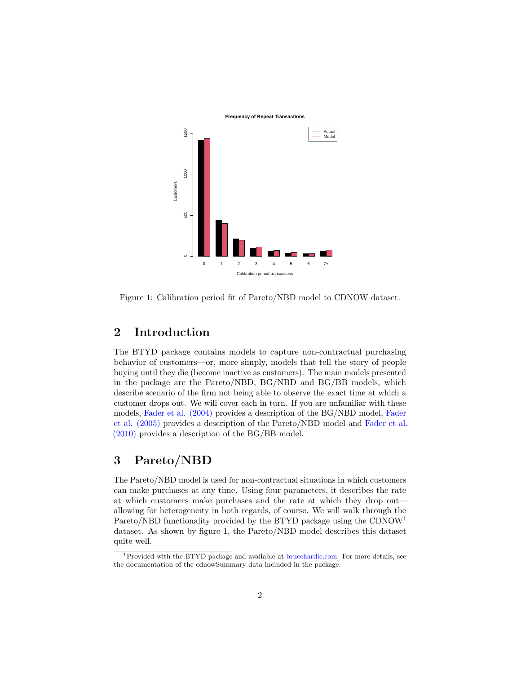

<span id="page-1-1"></span>Figure 1: Calibration period fit of Pareto/NBD model to CDNOW dataset.

## 2 Introduction

The BTYD package contains models to capture non-contractual purchasing behavior of customers—or, more simply, models that tell the story of people buying until they die (become inactive as customers). The main models presented in the package are the Pareto/NBD, BG/NBD and BG/BB models, which describe scenario of the firm not being able to observe the exact time at which a customer drops out. We will cover each in turn. If you are unfamiliar with these models, [Fader et al. \(2004\)](http://brucehardie.com/papers/018/fader_et_al_mksc_05.pdf) provides a description of the BG/NBD model, [Fader](http://www.brucehardie.com/notes/008/pareto_nbd_MATLAB.pdf) [et al. \(2005\)](http://www.brucehardie.com/notes/008/pareto_nbd_MATLAB.pdf) provides a description of the Pareto/NBD model and [Fader et al.](http://www.brucehardie.com/papers/020/) [\(2010\)](http://www.brucehardie.com/papers/020/) provides a description of the BG/BB model.

# 3 Pareto/NBD

The Pareto/NBD model is used for non-contractual situations in which customers can make purchases at any time. Using four parameters, it describes the rate at which customers make purchases and the rate at which they drop out allowing for heterogeneity in both regards, of course. We will walk through the Pareto/NBD functionality provided by the BTYD package using the  $CDNOW<sup>1</sup>$  $CDNOW<sup>1</sup>$  $CDNOW<sup>1</sup>$ dataset. As shown by figure [1,](#page-1-1) the Pareto/NBD model describes this dataset quite well.

<span id="page-1-0"></span><sup>1</sup>Provided with the BTYD package and available at [brucehardie.com.](http://www.brucehardie.com) For more details, see the documentation of the cdnowSummary data included in the package.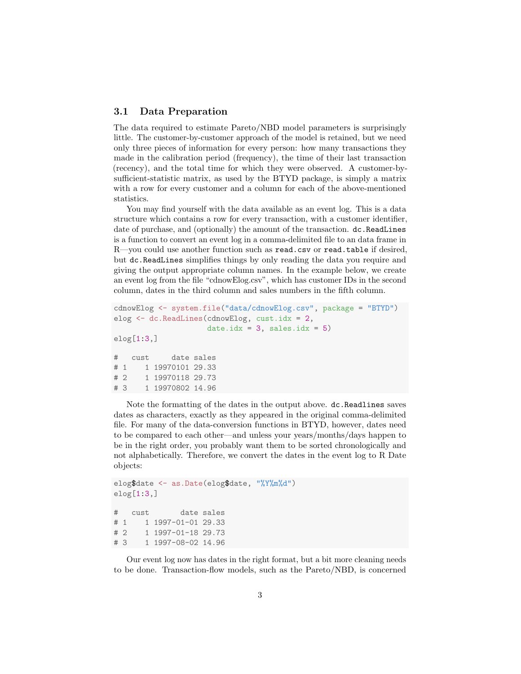### 3.1 Data Preparation

The data required to estimate Pareto/NBD model parameters is surprisingly little. The customer-by-customer approach of the model is retained, but we need only three pieces of information for every person: how many transactions they made in the calibration period (frequency), the time of their last transaction (recency), and the total time for which they were observed. A customer-bysufficient-statistic matrix, as used by the BTYD package, is simply a matrix with a row for every customer and a column for each of the above-mentioned statistics.

You may find yourself with the data available as an event log. This is a data structure which contains a row for every transaction, with a customer identifier, date of purchase, and (optionally) the amount of the transaction.  $dc$ .ReadLines is a function to convert an event log in a comma-delimited file to an data frame in R—you could use another function such as read.csv or read.table if desired, but dc.ReadLines simplifies things by only reading the data you require and giving the output appropriate column names. In the example below, we create an event log from the file "cdnowElog.csv", which has customer IDs in the second column, dates in the third column and sales numbers in the fifth column.

```
cdnowElog <- system.file("data/cdnowElog.csv", package = "BTYD")
elog <- dc.ReadLines(cdnowElog, cust.idx = 2,
                    date.idx = 3, sales.idx = 5)
elog[1:3,]
# cust date sales
# 1 1 19970101 29.33
# 2 1 19970118 29.73
# 3 1 19970802 14.96
```
Note the formatting of the dates in the output above. dc.Readlines saves dates as characters, exactly as they appeared in the original comma-delimited file. For many of the data-conversion functions in BTYD, however, dates need to be compared to each other—and unless your years/months/days happen to be in the right order, you probably want them to be sorted chronologically and not alphabetically. Therefore, we convert the dates in the event log to R Date objects:

```
elog$date <- as.Date(elog$date, "%Y%m%d")
elog[1:3]# cust date sales
# 1 1 1997-01-01 29.33
# 2 1 1997-01-18 29.73
# 3 1 1997-08-02 14.96
```
Our event log now has dates in the right format, but a bit more cleaning needs to be done. Transaction-flow models, such as the Pareto/NBD, is concerned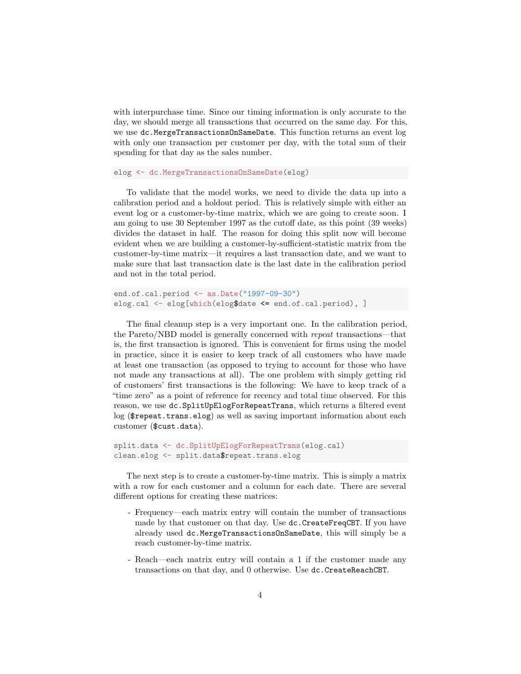with interpurchase time. Since our timing information is only accurate to the day, we should merge all transactions that occurred on the same day. For this, we use dc.MergeTransactionsOnSameDate. This function returns an event log with only one transaction per customer per day, with the total sum of their spending for that day as the sales number.

#### elog <- dc.MergeTransactionsOnSameDate(elog)

To validate that the model works, we need to divide the data up into a calibration period and a holdout period. This is relatively simple with either an event log or a customer-by-time matrix, which we are going to create soon. I am going to use 30 September 1997 as the cutoff date, as this point (39 weeks) divides the dataset in half. The reason for doing this split now will become evident when we are building a customer-by-sufficient-statistic matrix from the customer-by-time matrix—it requires a last transaction date, and we want to make sure that last transaction date is the last date in the calibration period and not in the total period.

```
end.of.cal.period <- as.Date("1997-09-30")
elog.cal <- elog[which(elog$date <= end.of.cal.period), ]
```
The final cleanup step is a very important one. In the calibration period, the Pareto/NBD model is generally concerned with repeat transactions—that is, the first transaction is ignored. This is convenient for firms using the model in practice, since it is easier to keep track of all customers who have made at least one transaction (as opposed to trying to account for those who have not made any transactions at all). The one problem with simply getting rid of customers' first transactions is the following: We have to keep track of a "time zero" as a point of reference for recency and total time observed. For this reason, we use dc.SplitUpElogForRepeatTrans, which returns a filtered event log (\$repeat.trans.elog) as well as saving important information about each customer (\$cust.data).

```
split.data <- dc.SplitUpElogForRepeatTrans(elog.cal)
clean.elog <- split.data$repeat.trans.elog
```
The next step is to create a customer-by-time matrix. This is simply a matrix with a row for each customer and a column for each date. There are several different options for creating these matrices:

- Frequency—each matrix entry will contain the number of transactions made by that customer on that day. Use dc.CreateFreqCBT. If you have already used dc.MergeTransactionsOnSameDate, this will simply be a reach customer-by-time matrix.
- Reach—each matrix entry will contain a 1 if the customer made any transactions on that day, and 0 otherwise. Use dc.CreateReachCBT.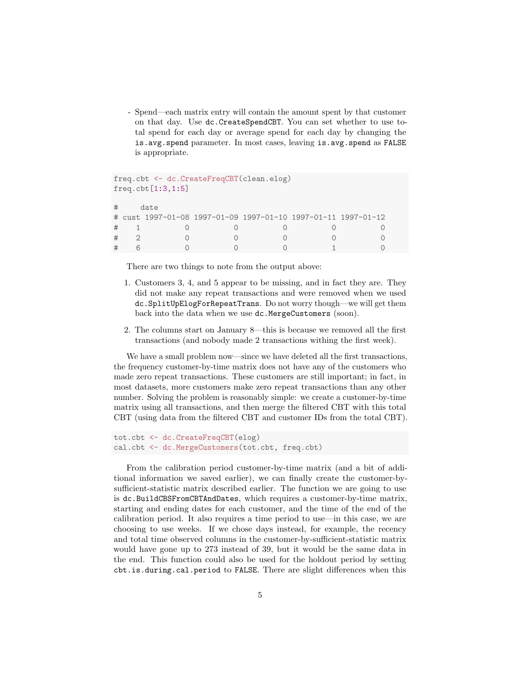- Spend—each matrix entry will contain the amount spent by that customer on that day. Use dc.CreateSpendCBT. You can set whether to use total spend for each day or average spend for each day by changing the is.avg.spend parameter. In most cases, leaving is.avg.spend as FALSE is appropriate.

```
freq.cbt <- dc.CreateFreqCBT(clean.elog)
freq.cbt[1:3,1:5]
# date
# cust 1997-01-08 1997-01-09 1997-01-10 1997-01-11 1997-01-12
# 1 0 0 0 0 0
# 2 0 0 0 0 0
# 6 0 0 0 1 0
```
There are two things to note from the output above:

- 1. Customers 3, 4, and 5 appear to be missing, and in fact they are. They did not make any repeat transactions and were removed when we used dc.SplitUpElogForRepeatTrans. Do not worry though—we will get them back into the data when we use dc.MergeCustomers (soon).
- 2. The columns start on January 8—this is because we removed all the first transactions (and nobody made 2 transactions withing the first week).

We have a small problem now—since we have deleted all the first transactions, the frequency customer-by-time matrix does not have any of the customers who made zero repeat transactions. These customers are still important; in fact, in most datasets, more customers make zero repeat transactions than any other number. Solving the problem is reasonably simple: we create a customer-by-time matrix using all transactions, and then merge the filtered CBT with this total CBT (using data from the filtered CBT and customer IDs from the total CBT).

```
tot.cbt <- dc.CreateFreqCBT(elog)
cal.cbt <- dc.MergeCustomers(tot.cbt, freq.cbt)
```
From the calibration period customer-by-time matrix (and a bit of additional information we saved earlier), we can finally create the customer-bysufficient-statistic matrix described earlier. The function we are going to use is dc.BuildCBSFromCBTAndDates, which requires a customer-by-time matrix, starting and ending dates for each customer, and the time of the end of the calibration period. It also requires a time period to use—in this case, we are choosing to use weeks. If we chose days instead, for example, the recency and total time observed columns in the customer-by-sufficient-statistic matrix would have gone up to 273 instead of 39, but it would be the same data in the end. This function could also be used for the holdout period by setting cbt.is.during.cal.period to FALSE. There are slight differences when this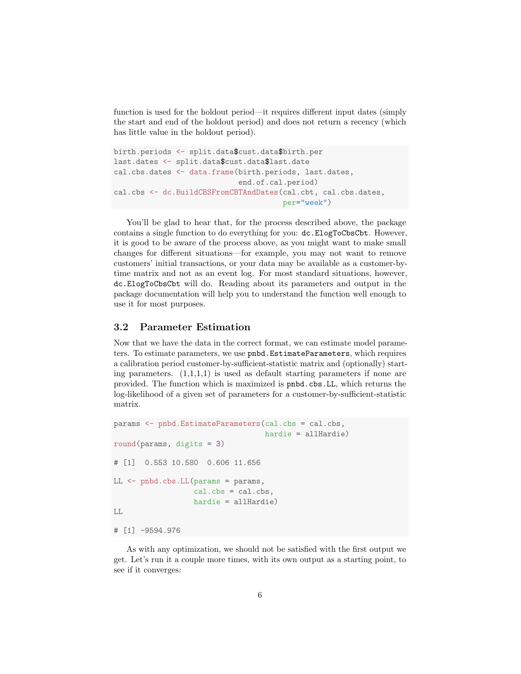function is used for the holdout period—it requires different input dates (simply the start and end of the holdout period) and does not return a recency (which has little value in the holdout period).

```
birth.periods <- split.data$cust.data$birth.per
last.dates <- split.data$cust.data$last.date
cal.cbs.dates <- data.frame(birth.periods, last.dates,
                            end.of.cal.period)
cal.cbs <- dc.BuildCBSFromCBTAndDates(cal.cbt, cal.cbs.dates,
                                      per="week")
```
You'll be glad to hear that, for the process described above, the package contains a single function to do everything for you: dc.ElogToCbsCbt. However, it is good to be aware of the process above, as you might want to make small changes for different situations—for example, you may not want to remove customers' initial transactions, or your data may be available as a customer-bytime matrix and not as an event log. For most standard situations, however, dc.ElogToCbsCbt will do. Reading about its parameters and output in the package documentation will help you to understand the function well enough to use it for most purposes.

## 3.2 Parameter Estimation

Now that we have the data in the correct format, we can estimate model parameters. To estimate parameters, we use pnbd.EstimateParameters, which requires a calibration period customer-by-sufficient-statistic matrix and (optionally) starting parameters.  $(1,1,1,1)$  is used as default starting parameters if none are provided. The function which is maximized is pnbd.cbs.LL, which returns the log-likelihood of a given set of parameters for a customer-by-sufficient-statistic matrix.

```
params <- pnbd.EstimateParameters(cal.cbs = cal.cbs,
                                   hardie = allHardie)
round(params, digits = 3)
# [1] 0.553 10.580 0.606 11.656
LL \leftarrow pnbd.cbs.LL(params = params,
                   cal.cbs = cal.cbs,
                   hardie = allHardie)
LL.
# [1] -9594.976
```
As with any optimization, we should not be satisfied with the first output we get. Let's run it a couple more times, with its own output as a starting point, to see if it converges: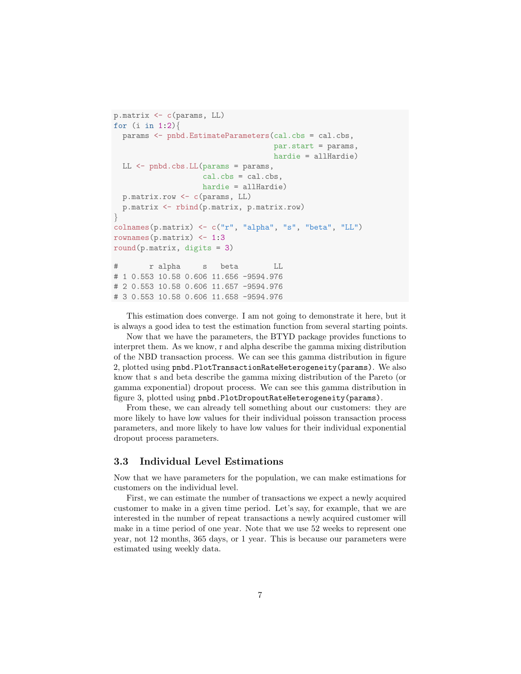```
p.matrix <- c(params, LL)
for (i \text{ in } 1:2)params <- pnbd.EstimateParameters(cal.cbs = cal.cbs,
                                     par.start = params,
                                     hardie = allHardie)
 LL <- pnbd.cbs.LL(params = params,
                    cal.cbs = cal.cbs,
                    hardie = allHardie)
 p.matrix.row <- c(params, LL)
 p.matrix <- rbind(p.matrix, p.matrix.row)
}
\text{colnames}(p.\text{matrix}) \leftarrow c("r", "alpha", "s", "beta", "LL")rownames(p.matrix) <- 1:3
round(p.matrix, digits = 3)
# r alpha s beta LL
# 1 0.553 10.58 0.606 11.656 -9594.976
# 2 0.553 10.58 0.606 11.657 -9594.976
# 3 0.553 10.58 0.606 11.658 -9594.976
```
This estimation does converge. I am not going to demonstrate it here, but it is always a good idea to test the estimation function from several starting points.

Now that we have the parameters, the BTYD package provides functions to interpret them. As we know, r and alpha describe the gamma mixing distribution of the NBD transaction process. We can see this gamma distribution in figure [2,](#page-7-0) plotted using pnbd.PlotTransactionRateHeterogeneity(params). We also know that s and beta describe the gamma mixing distribution of the Pareto (or gamma exponential) dropout process. We can see this gamma distribution in figure [3,](#page-7-1) plotted using pnbd.PlotDropoutRateHeterogeneity(params).

From these, we can already tell something about our customers: they are more likely to have low values for their individual poisson transaction process parameters, and more likely to have low values for their individual exponential dropout process parameters.

### 3.3 Individual Level Estimations

Now that we have parameters for the population, we can make estimations for customers on the individual level.

First, we can estimate the number of transactions we expect a newly acquired customer to make in a given time period. Let's say, for example, that we are interested in the number of repeat transactions a newly acquired customer will make in a time period of one year. Note that we use 52 weeks to represent one year, not 12 months, 365 days, or 1 year. This is because our parameters were estimated using weekly data.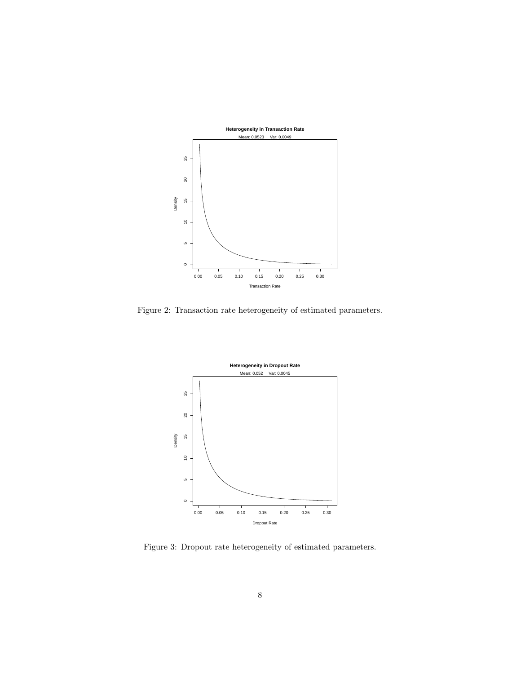

<span id="page-7-0"></span>Figure 2: Transaction rate heterogeneity of estimated parameters.



<span id="page-7-1"></span>Figure 3: Dropout rate heterogeneity of estimated parameters.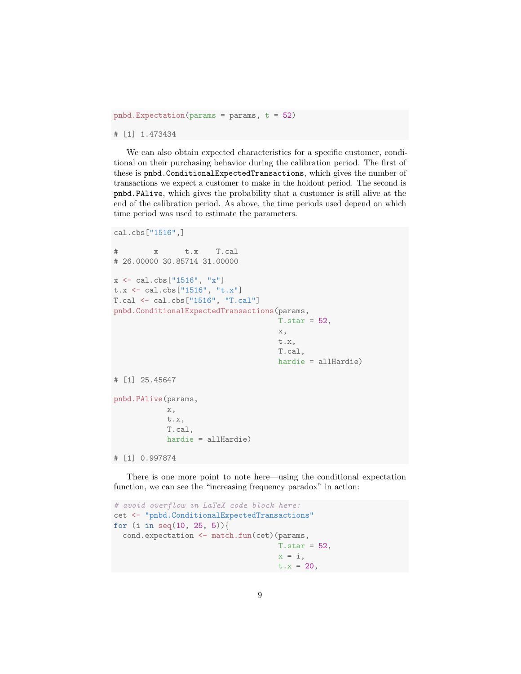pnbd. Expectation (params = params,  $t = 52$ )

# [1] 1.473434

We can also obtain expected characteristics for a specific customer, conditional on their purchasing behavior during the calibration period. The first of these is pnbd.ConditionalExpectedTransactions, which gives the number of transactions we expect a customer to make in the holdout period. The second is pnbd.PAlive, which gives the probability that a customer is still alive at the end of the calibration period. As above, the time periods used depend on which time period was used to estimate the parameters.

```
cal.cbs["1516",]
# x t.x T.cal
# 26.00000 30.85714 31.00000
x <- cal.cbs["1516", "x"]
t.x <- cal.cbs["1516", "t.x"]
T.cal <- cal.cbs["1516", "T.cal"]
pnbd.ConditionalExpectedTransactions(params,
                                    T. star = 52,x,
                                    t.x,
                                    T.cal,
                                    hardie = allHardie)
# [1] 25.45647
pnbd.PAlive(params,
           x,
           t.x,
           T.cal,
           hardie = allHardie)
# [1] 0.997874
```
There is one more point to note here—using the conditional expectation function, we can see the "increasing frequency paradox" in action:

```
# avoid overflow in LaTeX code block here:
cet <- "pnbd.ConditionalExpectedTransactions"
for (i in seq(10, 25, 5)){
  cond.expectation <- match.fun(cet)(params,
                                      T. star = 52,
                                      x = i,
                                      t.x = 20,
```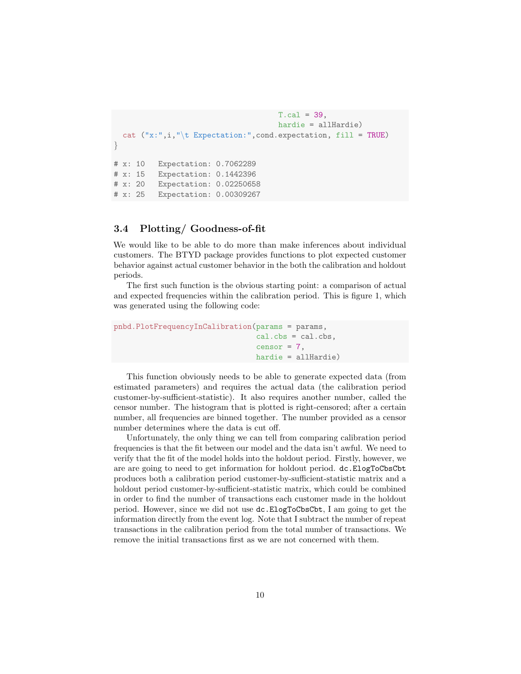```
T.cal = 39.
                                     hardie = allHardie)
  cat ("x:", i, "\t Expectation:", cond.expectation, fill = TRUE)
}
# x: 10 Expectation: 0.7062289
# x: 15 Expectation: 0.1442396
# x: 20 Expectation: 0.02250658
# x: 25 Expectation: 0.00309267
```
### <span id="page-9-0"></span>3.4 Plotting/ Goodness-of-fit

We would like to be able to do more than make inferences about individual customers. The BTYD package provides functions to plot expected customer behavior against actual customer behavior in the both the calibration and holdout periods.

The first such function is the obvious starting point: a comparison of actual and expected frequencies within the calibration period. This is figure [1,](#page-1-1) which was generated using the following code:

```
pnbd.PlotFrequencyInCalibration(params = params,
                                 cal.cbs = cal.cbs,
                                 censor = 7,
                                 hardie = allHardie)
```
This function obviously needs to be able to generate expected data (from estimated parameters) and requires the actual data (the calibration period customer-by-sufficient-statistic). It also requires another number, called the censor number. The histogram that is plotted is right-censored; after a certain number, all frequencies are binned together. The number provided as a censor number determines where the data is cut off.

Unfortunately, the only thing we can tell from comparing calibration period frequencies is that the fit between our model and the data isn't awful. We need to verify that the fit of the model holds into the holdout period. Firstly, however, we are are going to need to get information for holdout period. dc.ElogToCbsCbt produces both a calibration period customer-by-sufficient-statistic matrix and a holdout period customer-by-sufficient-statistic matrix, which could be combined in order to find the number of transactions each customer made in the holdout period. However, since we did not use dc.ElogToCbsCbt, I am going to get the information directly from the event log. Note that I subtract the number of repeat transactions in the calibration period from the total number of transactions. We remove the initial transactions first as we are not concerned with them.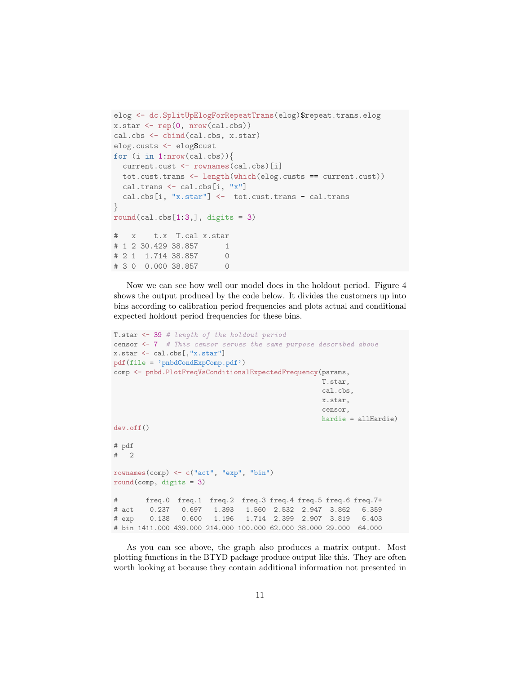```
elog <- dc.SplitUpElogForRepeatTrans(elog)$repeat.trans.elog
x.start \leftarrow rep(0, nrow(cal.cbs))cal.cbs <- cbind(cal.cbs, x.star)
elog.custs <- elog$cust
for (i in 1:nrow(cal.cbs)){
 current.cust <- rownames(cal.cbs)[i]
 tot.cust.trans <- length(which(elog.custs == current.cust))
 cal.trans <- cal.cbs[i, "x"]
 cal.cbs[i, "x.star"] <- tot.cust.trans - cal.trans
}
round(cal.cbs[1:3,], digits = 3)
# x t.x T.cal x.star
# 1 2 30.429 38.857 1
# 2 1 1.714 38.857 0
# 3 0 0.000 38.857 0
```
Now we can see how well our model does in the holdout period. Figure [4](#page-11-0) shows the output produced by the code below. It divides the customers up into bins according to calibration period frequencies and plots actual and conditional expected holdout period frequencies for these bins.

```
T. star \leq -39 # length of the holdout period
censor <- 7 # This censor serves the same purpose described above
x.star <- cal.cbs[,"x.star"]
pdf(file = 'pnbdCondExpComp.pdf')
comp <- pnbd.PlotFreqVsConditionalExpectedFrequency(params,
                                                 T.star,
                                                 cal.cbs,
                                                 x.star,
                                                 censor,
                                                 hardie = allHardie)
dev.off()
# pdf
# 2
rownames(comp) <- c("act", "exp", "bin")
round(comp, digits = 3)
# freq.0 freq.1 freq.2 freq.3 freq.4 freq.5 freq.6 freq.7+
# act 0.237 0.697 1.393 1.560 2.532 2.947 3.862 6.359
# exp 0.138 0.600 1.196 1.714 2.399 2.907 3.819 6.403
# bin 1411.000 439.000 214.000 100.000 62.000 38.000 29.000 64.000
```
As you can see above, the graph also produces a matrix output. Most plotting functions in the BTYD package produce output like this. They are often worth looking at because they contain additional information not presented in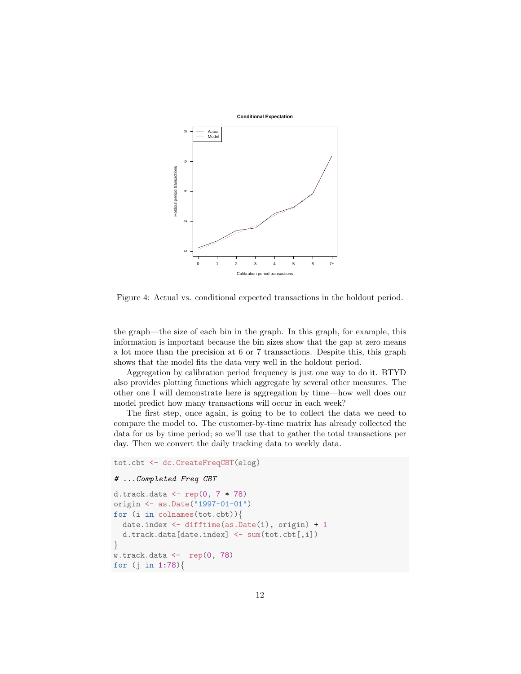

<span id="page-11-0"></span>Figure 4: Actual vs. conditional expected transactions in the holdout period.

the graph—the size of each bin in the graph. In this graph, for example, this information is important because the bin sizes show that the gap at zero means a lot more than the precision at 6 or 7 transactions. Despite this, this graph shows that the model fits the data very well in the holdout period.

Aggregation by calibration period frequency is just one way to do it. BTYD also provides plotting functions which aggregate by several other measures. The other one I will demonstrate here is aggregation by time—how well does our model predict how many transactions will occur in each week?

The first step, once again, is going to be to collect the data we need to compare the model to. The customer-by-time matrix has already collected the data for us by time period; so we'll use that to gather the total transactions per day. Then we convert the daily tracking data to weekly data.

```
tot.cbt <- dc.CreateFreqCBT(elog)
```
#### # ...Completed Freq CBT

```
d.track.data \leq rep(0, 7 * 78)
origin <- as.Date("1997-01-01")
for (i in colnames(tot.cbt)){
 date.index <- difftime(as.Date(i), origin) + 1
  d.track.data[date.index] <- sum(tot.cbt[,i])
}
w.track.data \leftarrow rep(0, 78)for (j in 1:78) {
```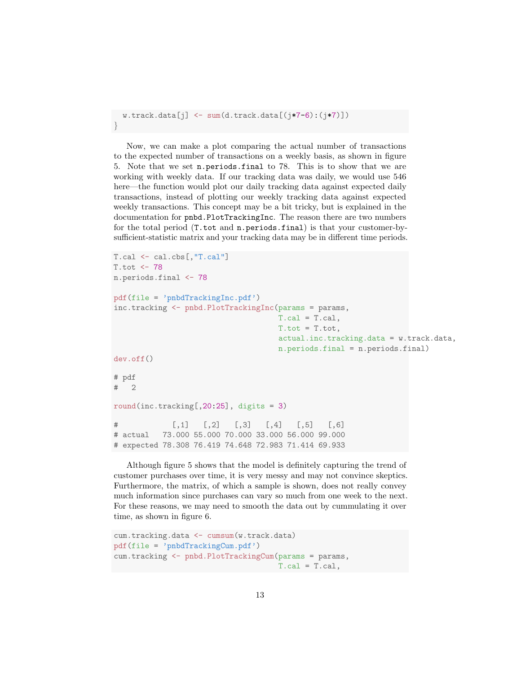```
w.\text{track.data}[j] \leftarrow \text{sum}(d.\text{track.data}[(j*7-6):(j*7)]}
```
Now, we can make a plot comparing the actual number of transactions to the expected number of transactions on a weekly basis, as shown in figure [5.](#page-13-0) Note that we set n.periods.final to 78. This is to show that we are working with weekly data. If our tracking data was daily, we would use 546 here—the function would plot our daily tracking data against expected daily transactions, instead of plotting our weekly tracking data against expected weekly transactions. This concept may be a bit tricky, but is explained in the documentation for pnbd.PlotTrackingInc. The reason there are two numbers for the total period (T.tot and n.periods.final) is that your customer-bysufficient-statistic matrix and your tracking data may be in different time periods.

```
T.cal <- cal.cbs[,"T.cal"]
T.tot <- 78
n.periods.final <- 78
pdf(file = 'pnbdTrackingInc.pdf')
inc.tracking <- pnbd.PlotTrackingInc(params = params,
                                   T.cal = T.cal,
                                   T.tot = T.tot,actual.inc.tracking.data = w.track.data,
                                   n.periods.final = n.periods.final)
dev.off()
# pdf
# 2
round(inc.tracking[,20:25], digits = 3)
# [,1] [,2] [,3] [,4] [,5] [,6]
# actual 73.000 55.000 70.000 33.000 56.000 99.000
# expected 78.308 76.419 74.648 72.983 71.414 69.933
```
Although figure [5](#page-13-0) shows that the model is definitely capturing the trend of customer purchases over time, it is very messy and may not convince skeptics. Furthermore, the matrix, of which a sample is shown, does not really convey much information since purchases can vary so much from one week to the next. For these reasons, we may need to smooth the data out by cummulating it over time, as shown in figure [6.](#page-14-0)

```
cum.tracking.data <- cumsum(w.track.data)
pdf(file = 'pnbdTrackingCum.pdf')
cum.tracking <- pnbd.PlotTrackingCum(params = params,
                                     T.cal = T.cal,
```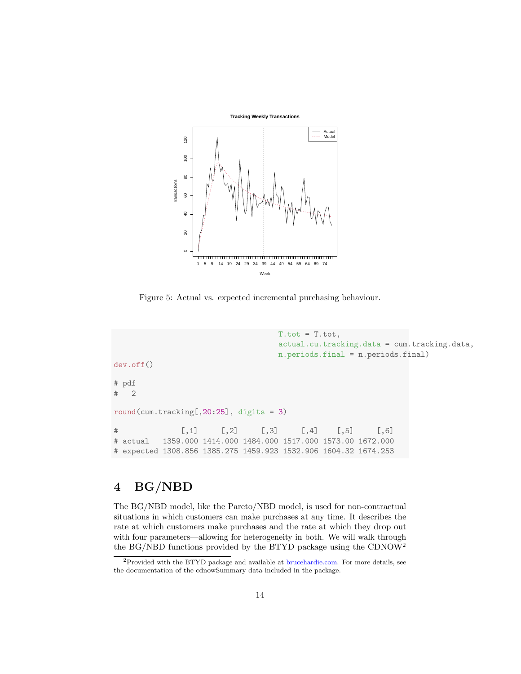

<span id="page-13-0"></span>Figure 5: Actual vs. expected incremental purchasing behaviour.

```
T.tot = T.tot,actual.cu.tracking.data = cum.tracking.data,
                                 n.periods.final = n.periods.final)
dev.off()
# pdf
# 2
round(cum.tracking[, 20:25], digits = 3)
# [,1] [,2] [,3] [,4] [,5] [,6]
# actual 1359.000 1414.000 1484.000 1517.000 1573.00 1672.000
# expected 1308.856 1385.275 1459.923 1532.906 1604.32 1674.253
```
## 4 BG/NBD

The BG/NBD model, like the Pareto/NBD model, is used for non-contractual situations in which customers can make purchases at any time. It describes the rate at which customers make purchases and the rate at which they drop out with four parameters—allowing for heterogeneity in both. We will walk through the BG/NBD functions provided by the BTYD package using the CDNOW[2](#page-13-1)

<span id="page-13-1"></span><sup>&</sup>lt;sup>2</sup>Provided with the BTYD package and available at [brucehardie.com.](http://www.brucehardie.com) For more details, see the documentation of the cdnowSummary data included in the package.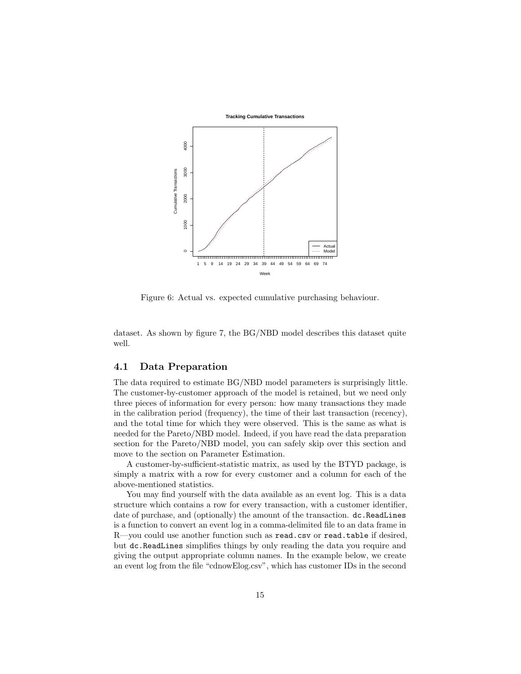

<span id="page-14-0"></span>Figure 6: Actual vs. expected cumulative purchasing behaviour.

dataset. As shown by figure [7,](#page-15-0) the BG/NBD model describes this dataset quite well.

#### 4.1 Data Preparation

The data required to estimate BG/NBD model parameters is surprisingly little. The customer-by-customer approach of the model is retained, but we need only three pieces of information for every person: how many transactions they made in the calibration period (frequency), the time of their last transaction (recency), and the total time for which they were observed. This is the same as what is needed for the Pareto/NBD model. Indeed, if you have read the data preparation section for the Pareto/NBD model, you can safely skip over this section and move to the section on Parameter Estimation.

A customer-by-sufficient-statistic matrix, as used by the BTYD package, is simply a matrix with a row for every customer and a column for each of the above-mentioned statistics.

You may find yourself with the data available as an event log. This is a data structure which contains a row for every transaction, with a customer identifier, date of purchase, and (optionally) the amount of the transaction. dc.ReadLines is a function to convert an event log in a comma-delimited file to an data frame in R—you could use another function such as read.csv or read.table if desired, but dc.ReadLines simplifies things by only reading the data you require and giving the output appropriate column names. In the example below, we create an event log from the file "cdnowElog.csv", which has customer IDs in the second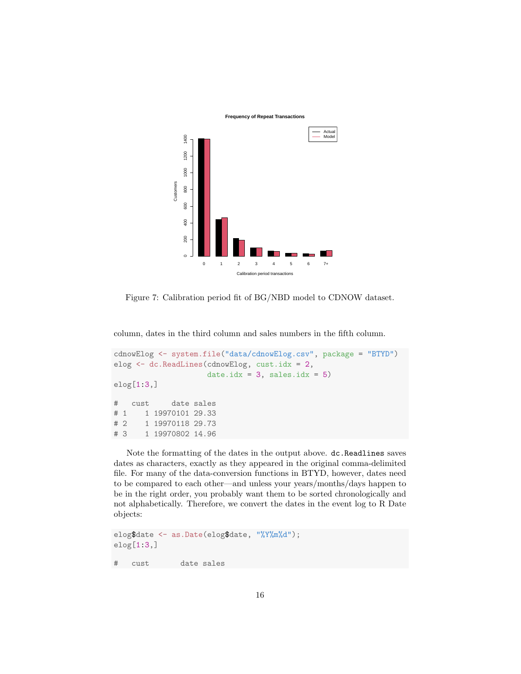



<span id="page-15-0"></span>Figure 7: Calibration period fit of BG/NBD model to CDNOW dataset.

column, dates in the third column and sales numbers in the fifth column.

```
cdnowElog <- system.file("data/cdnowElog.csv", package = "BTYD")
elog <- dc.ReadLines(cdnowElog, cust.idx = 2,
                    date.idx = 3, sales.idx = 5)
elog[1:3,]
# cust date sales
# 1 1 19970101 29.33
# 2 1 19970118 29.73
# 3 1 19970802 14.96
```
Note the formatting of the dates in the output above. dc.Readlines saves dates as characters, exactly as they appeared in the original comma-delimited file. For many of the data-conversion functions in BTYD, however, dates need to be compared to each other—and unless your years/months/days happen to be in the right order, you probably want them to be sorted chronologically and not alphabetically. Therefore, we convert the dates in the event log to R Date objects:

```
elog$date <- as.Date(elog$date, "%Y%m%d");
elog[1:3,]
# cust date sales
```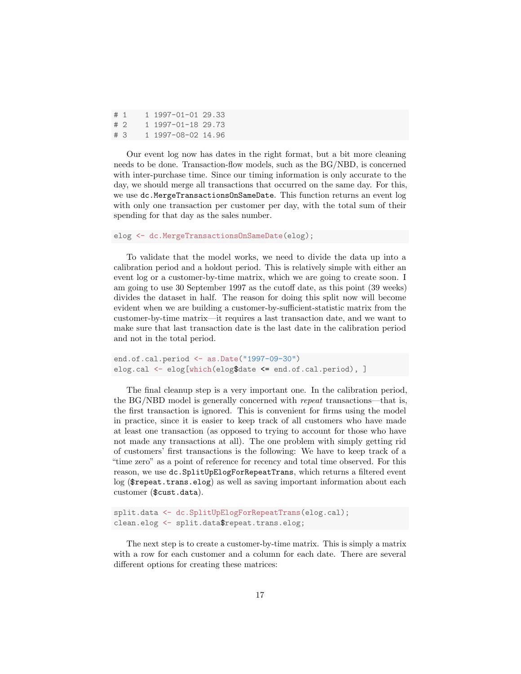| #1 |  | 1 1997-01-01 29.33 |  |
|----|--|--------------------|--|
| #2 |  | 1 1997-01-18 29.73 |  |
| #3 |  | 1 1997-08-02 14.96 |  |

Our event log now has dates in the right format, but a bit more cleaning needs to be done. Transaction-flow models, such as the BG/NBD, is concerned with inter-purchase time. Since our timing information is only accurate to the day, we should merge all transactions that occurred on the same day. For this, we use dc.MergeTransactionsOnSameDate. This function returns an event log with only one transaction per customer per day, with the total sum of their spending for that day as the sales number.

elog <- dc.MergeTransactionsOnSameDate(elog);

To validate that the model works, we need to divide the data up into a calibration period and a holdout period. This is relatively simple with either an event log or a customer-by-time matrix, which we are going to create soon. I am going to use 30 September 1997 as the cutoff date, as this point (39 weeks) divides the dataset in half. The reason for doing this split now will become evident when we are building a customer-by-sufficient-statistic matrix from the customer-by-time matrix—it requires a last transaction date, and we want to make sure that last transaction date is the last date in the calibration period and not in the total period.

```
end.of.cal.period <- as.Date("1997-09-30")
elog.cal <- elog[which(elog$date <= end.of.cal.period), ]
```
The final cleanup step is a very important one. In the calibration period, the BG/NBD model is generally concerned with repeat transactions—that is, the first transaction is ignored. This is convenient for firms using the model in practice, since it is easier to keep track of all customers who have made at least one transaction (as opposed to trying to account for those who have not made any transactions at all). The one problem with simply getting rid of customers' first transactions is the following: We have to keep track of a "time zero" as a point of reference for recency and total time observed. For this reason, we use dc.SplitUpElogForRepeatTrans, which returns a filtered event log (\$repeat.trans.elog) as well as saving important information about each customer (\$cust.data).

```
split.data <- dc.SplitUpElogForRepeatTrans(elog.cal);
clean.elog <- split.data$repeat.trans.elog;
```
The next step is to create a customer-by-time matrix. This is simply a matrix with a row for each customer and a column for each date. There are several different options for creating these matrices: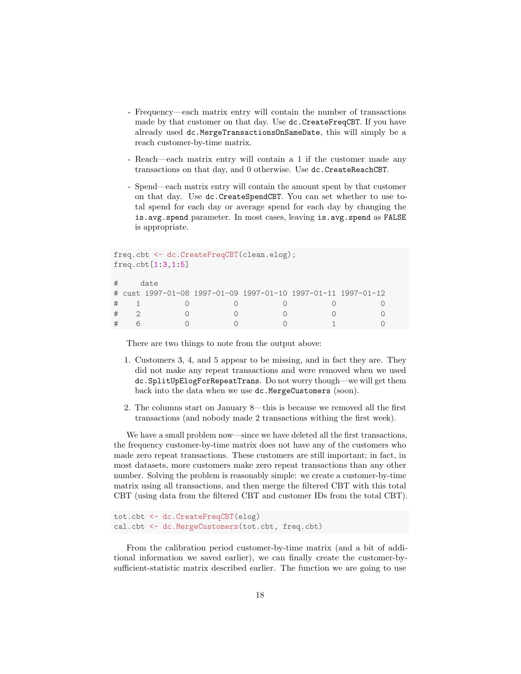- Frequency—each matrix entry will contain the number of transactions made by that customer on that day. Use dc.CreateFreqCBT. If you have already used dc.MergeTransactionsOnSameDate, this will simply be a reach customer-by-time matrix.
- Reach—each matrix entry will contain a 1 if the customer made any transactions on that day, and 0 otherwise. Use dc.CreateReachCBT.
- Spend—each matrix entry will contain the amount spent by that customer on that day. Use dc.CreateSpendCBT. You can set whether to use total spend for each day or average spend for each day by changing the is.avg.spend parameter. In most cases, leaving is.avg.spend as FALSE is appropriate.

```
freq.cbt <- dc.CreateFreqCBT(clean.elog);
freq.cbt[1:3,1:5]
# date
# cust 1997-01-08 1997-01-09 1997-01-10 1997-01-11 1997-01-12
# 1 0 0 0 0 0
# 2 0 0 0 0 0
# 6 0 0 0 1 0
```
There are two things to note from the output above:

- 1. Customers 3, 4, and 5 appear to be missing, and in fact they are. They did not make any repeat transactions and were removed when we used dc.SplitUpElogForRepeatTrans. Do not worry though—we will get them back into the data when we use dc.MergeCustomers (soon).
- 2. The columns start on January 8—this is because we removed all the first transactions (and nobody made 2 transactions withing the first week).

We have a small problem now—since we have deleted all the first transactions, the frequency customer-by-time matrix does not have any of the customers who made zero repeat transactions. These customers are still important; in fact, in most datasets, more customers make zero repeat transactions than any other number. Solving the problem is reasonably simple: we create a customer-by-time matrix using all transactions, and then merge the filtered CBT with this total CBT (using data from the filtered CBT and customer IDs from the total CBT).

```
tot.cbt <- dc.CreateFreqCBT(elog)
cal.cbt <- dc.MergeCustomers(tot.cbt, freq.cbt)
```
From the calibration period customer-by-time matrix (and a bit of additional information we saved earlier), we can finally create the customer-bysufficient-statistic matrix described earlier. The function we are going to use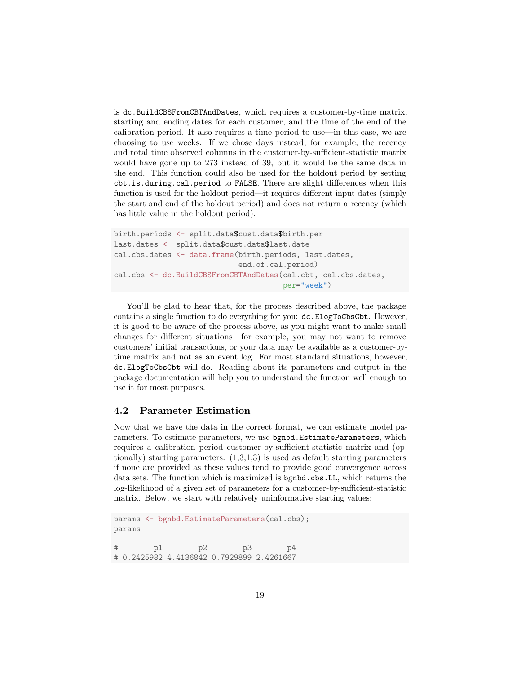is dc.BuildCBSFromCBTAndDates, which requires a customer-by-time matrix, starting and ending dates for each customer, and the time of the end of the calibration period. It also requires a time period to use—in this case, we are choosing to use weeks. If we chose days instead, for example, the recency and total time observed columns in the customer-by-sufficient-statistic matrix would have gone up to 273 instead of 39, but it would be the same data in the end. This function could also be used for the holdout period by setting cbt.is.during.cal.period to FALSE. There are slight differences when this function is used for the holdout period—it requires different input dates (simply the start and end of the holdout period) and does not return a recency (which has little value in the holdout period).

```
birth.periods <- split.data$cust.data$birth.per
last.dates <- split.data$cust.data$last.date
cal.cbs.dates <- data.frame(birth.periods, last.dates,
                            end.of.cal.period)
cal.cbs <- dc.BuildCBSFromCBTAndDates(cal.cbt, cal.cbs.dates,
                                      per="week")
```
You'll be glad to hear that, for the process described above, the package contains a single function to do everything for you: dc.ElogToCbsCbt. However, it is good to be aware of the process above, as you might want to make small changes for different situations—for example, you may not want to remove customers' initial transactions, or your data may be available as a customer-bytime matrix and not as an event log. For most standard situations, however, dc.ElogToCbsCbt will do. Reading about its parameters and output in the package documentation will help you to understand the function well enough to use it for most purposes.

#### 4.2 Parameter Estimation

Now that we have the data in the correct format, we can estimate model parameters. To estimate parameters, we use bgnbd.EstimateParameters, which requires a calibration period customer-by-sufficient-statistic matrix and (optionally) starting parameters.  $(1,3,1,3)$  is used as default starting parameters if none are provided as these values tend to provide good convergence across data sets. The function which is maximized is bgnbd.cbs.LL, which returns the log-likelihood of a given set of parameters for a customer-by-sufficient-statistic matrix. Below, we start with relatively uninformative starting values:

```
params <- bgnbd.EstimateParameters(cal.cbs);
params
# p1 p2 p3 p4
# 0.2425982 4.4136842 0.7929899 2.4261667
```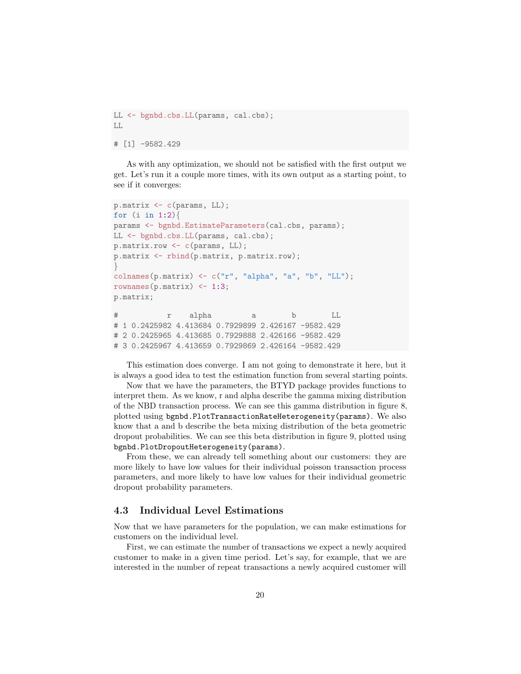```
LL <- bgnbd.cbs.LL(params, cal.cbs);
LL
# [1] -9582.429
```
As with any optimization, we should not be satisfied with the first output we get. Let's run it a couple more times, with its own output as a starting point, to see if it converges:

```
p.matrix <- c(params, LL);
for (i \text{ in } 1:2)params <- bgnbd.EstimateParameters(cal.cbs, params);
LL <- bgnbd.cbs.LL(params, cal.cbs);
p.matrix.row <- c(params, LL);
p.matrix <- rbind(p.matrix, p.matrix.row);
}
colnames(p.matrix) \leq c("r", "alpha", "a", "b", "LL");
rownames(p.matrix) \leftarrow 1:3;
p.matrix;
# r alpha a b LL
# 1 0.2425982 4.413684 0.7929899 2.426167 -9582.429
# 2 0.2425965 4.413685 0.7929888 2.426166 -9582.429
# 3 0.2425967 4.413659 0.7929869 2.426164 -9582.429
```
This estimation does converge. I am not going to demonstrate it here, but it is always a good idea to test the estimation function from several starting points.

Now that we have the parameters, the BTYD package provides functions to interpret them. As we know, r and alpha describe the gamma mixing distribution of the NBD transaction process. We can see this gamma distribution in figure [8,](#page-20-0) plotted using bgnbd.PlotTransactionRateHeterogeneity(params). We also know that a and b describe the beta mixing distribution of the beta geometric dropout probabilities. We can see this beta distribution in figure [9,](#page-20-1) plotted using bgnbd.PlotDropoutHeterogeneity(params).

From these, we can already tell something about our customers: they are more likely to have low values for their individual poisson transaction process parameters, and more likely to have low values for their individual geometric dropout probability parameters.

## 4.3 Individual Level Estimations

Now that we have parameters for the population, we can make estimations for customers on the individual level.

First, we can estimate the number of transactions we expect a newly acquired customer to make in a given time period. Let's say, for example, that we are interested in the number of repeat transactions a newly acquired customer will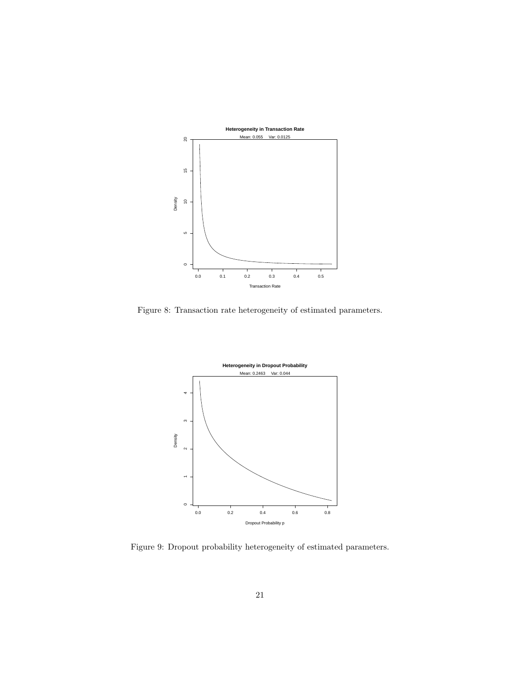

<span id="page-20-0"></span>Figure 8: Transaction rate heterogeneity of estimated parameters.



<span id="page-20-1"></span>Figure 9: Dropout probability heterogeneity of estimated parameters.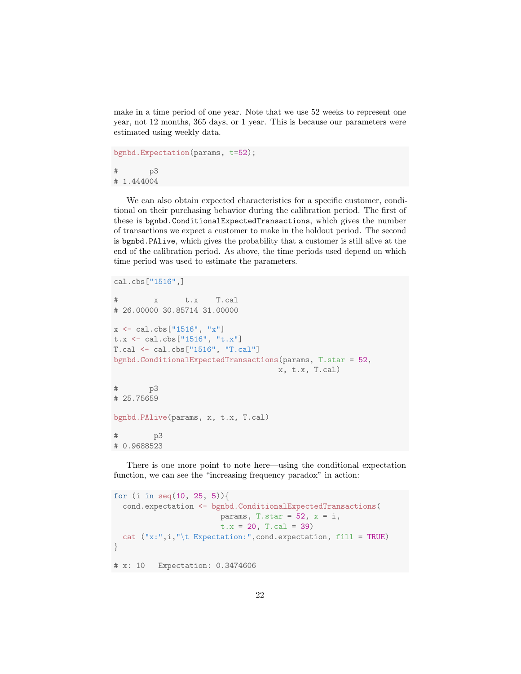make in a time period of one year. Note that we use 52 weeks to represent one year, not 12 months, 365 days, or 1 year. This is because our parameters were estimated using weekly data.

```
bgnbd.Expectation(params, t=52);
# p3
# 1.444004
```
We can also obtain expected characteristics for a specific customer, conditional on their purchasing behavior during the calibration period. The first of these is bgnbd.ConditionalExpectedTransactions, which gives the number of transactions we expect a customer to make in the holdout period. The second is bgnbd.PAlive, which gives the probability that a customer is still alive at the end of the calibration period. As above, the time periods used depend on which time period was used to estimate the parameters.

```
cal.cbs["1516",]
# x t.x T.cal
# 26.00000 30.85714 31.00000
x \leftarrow \text{cal.} \text{obs}['1516", "x"]t.x <- cal.cbs["1516", "t.x"]
T.cal <- cal.cbs["1516", "T.cal"]
bgnbd.ConditionalExpectedTransactions(params, T.star = 52,
                                     x, t.x, T.cal)
# p3
# 25.75659
bgnbd.PAlive(params, x, t.x, T.cal)
# p3
# 0.9688523
```
There is one more point to note here—using the conditional expectation function, we can see the "increasing frequency paradox" in action:

```
for (i in seq(10, 25, 5)){
  cond.expectation <- bgnbd.ConditionalExpectedTransactions(
                        params, T.star = 52, x = i,
                        t.x = 20, T.ca1 = 39)cat ("x:", i, "\t Expectation:", cond.expectation, fill = TRUE)
}
# x: 10 Expectation: 0.3474606
```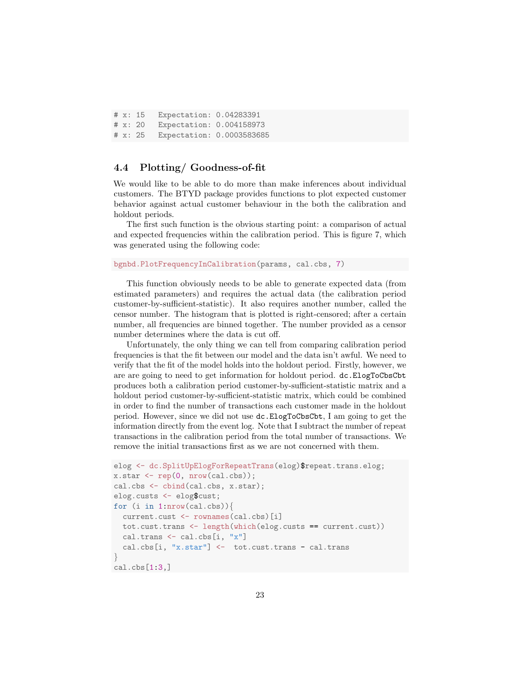# x: 15 Expectation: 0.04283391 # x: 20 Expectation: 0.004158973 # x: 25 Expectation: 0.0003583685

## 4.4 Plotting/ Goodness-of-fit

We would like to be able to do more than make inferences about individual customers. The BTYD package provides functions to plot expected customer behavior against actual customer behaviour in the both the calibration and holdout periods.

The first such function is the obvious starting point: a comparison of actual and expected frequencies within the calibration period. This is figure [7,](#page-15-0) which was generated using the following code:

bgnbd.PlotFrequencyInCalibration(params, cal.cbs, 7)

This function obviously needs to be able to generate expected data (from estimated parameters) and requires the actual data (the calibration period customer-by-sufficient-statistic). It also requires another number, called the censor number. The histogram that is plotted is right-censored; after a certain number, all frequencies are binned together. The number provided as a censor number determines where the data is cut off.

Unfortunately, the only thing we can tell from comparing calibration period frequencies is that the fit between our model and the data isn't awful. We need to verify that the fit of the model holds into the holdout period. Firstly, however, we are are going to need to get information for holdout period. dc.ElogToCbsCbt produces both a calibration period customer-by-sufficient-statistic matrix and a holdout period customer-by-sufficient-statistic matrix, which could be combined in order to find the number of transactions each customer made in the holdout period. However, since we did not use dc.ElogToCbsCbt, I am going to get the information directly from the event log. Note that I subtract the number of repeat transactions in the calibration period from the total number of transactions. We remove the initial transactions first as we are not concerned with them.

```
elog <- dc.SplitUpElogForRepeatTrans(elog)$repeat.trans.elog;
x.start \leftarrow rep(0, nrow(cal.cbs));cal.cbs <- cbind(cal.cbs, x.star);
elog.custs <- elog$cust;
for (i in 1:nrow(cal.cbs)){
  current.cust <- rownames(cal.cbs)[i]
 tot.cust.trans <- length(which(elog.custs == current.cust))
  cal.trans <- cal.cbs[i, "x"]
  cal.cbs[i, "x.star"] <- tot.cust.trans - cal.trans
}
cal.obs[1:3.]
```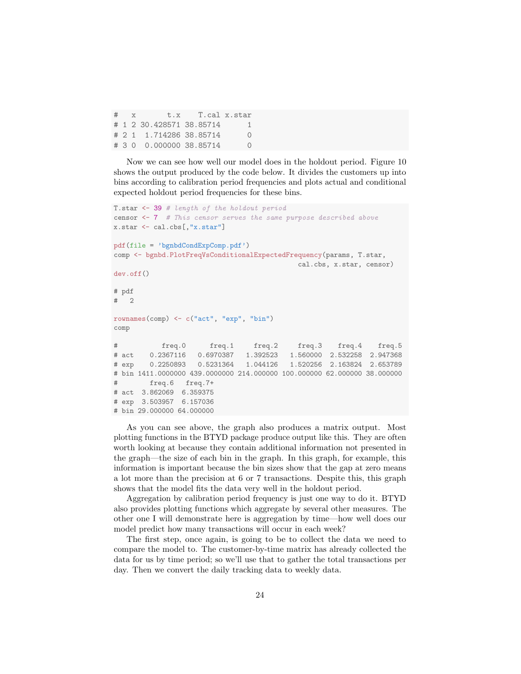# x t.x T.cal x.star # 1 2 30.428571 38.85714 1 # 2 1 1.714286 38.85714 0 # 3 0 0.000000 38.85714 0

Now we can see how well our model does in the holdout period. Figure [10](#page-24-0) shows the output produced by the code below. It divides the customers up into bins according to calibration period frequencies and plots actual and conditional expected holdout period frequencies for these bins.

```
T.star <- 39 # length of the holdout period
censor \leq -7 # This censor serves the same purpose described above
x.star <- cal.cbs[,"x.star"]
pdf(file = 'bgnbdCondExpComp.pdf')
comp <- bgnbd.PlotFreqVsConditionalExpectedFrequency(params, T.star,
                                          cal.cbs, x.star, censor)
dev.off()
# pdf
# 2
rownames(comp) <- c("act", "exp", "bin")
comp
# freq.0 freq.1 freq.2 freq.3 freq.4 freq.5
# act 0.2367116 0.6970387 1.392523 1.560000 2.532258 2.947368
# exp 0.2250893 0.5231364 1.044126 1.520256 2.163824 2.653789
# bin 1411.0000000 439.0000000 214.000000 100.000000 62.000000 38.000000
# freq.6 freq.7+
# act 3.862069 6.359375
# exp 3.503957 6.157036
# bin 29.000000 64.000000
```
As you can see above, the graph also produces a matrix output. Most plotting functions in the BTYD package produce output like this. They are often worth looking at because they contain additional information not presented in the graph—the size of each bin in the graph. In this graph, for example, this information is important because the bin sizes show that the gap at zero means a lot more than the precision at 6 or 7 transactions. Despite this, this graph shows that the model fits the data very well in the holdout period.

Aggregation by calibration period frequency is just one way to do it. BTYD also provides plotting functions which aggregate by several other measures. The other one I will demonstrate here is aggregation by time—how well does our model predict how many transactions will occur in each week?

The first step, once again, is going to be to collect the data we need to compare the model to. The customer-by-time matrix has already collected the data for us by time period; so we'll use that to gather the total transactions per day. Then we convert the daily tracking data to weekly data.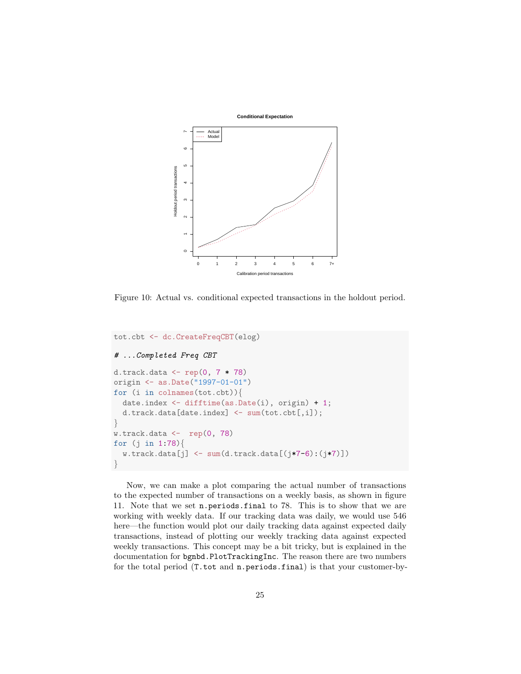

<span id="page-24-0"></span>Figure 10: Actual vs. conditional expected transactions in the holdout period.

```
tot.cbt <- dc.CreateFreqCBT(elog)
# ...Completed Freq CBT
d.track.data \leftarrow \text{rep}(0, 7 * 78)origin <- as.Date("1997-01-01")
for (i in colnames(tot.cbt)){
  date.index <- difftime(as.Date(i), origin) + 1;
  d.track.data[date.index] <- sum(tot.cbt[,i]);
}
w.track.data \leftarrow rep(0, 78)for (j in 1:78){
  w.\text{track.data}[j] \leftarrow \text{sum}(d.\text{track.data}[(j*7-6):(j*7)]}
```
Now, we can make a plot comparing the actual number of transactions to the expected number of transactions on a weekly basis, as shown in figure [11.](#page-25-0) Note that we set n.periods.final to 78. This is to show that we are working with weekly data. If our tracking data was daily, we would use 546 here—the function would plot our daily tracking data against expected daily transactions, instead of plotting our weekly tracking data against expected weekly transactions. This concept may be a bit tricky, but is explained in the documentation for bgnbd.PlotTrackingInc. The reason there are two numbers for the total period (T.tot and n.periods.final) is that your customer-by-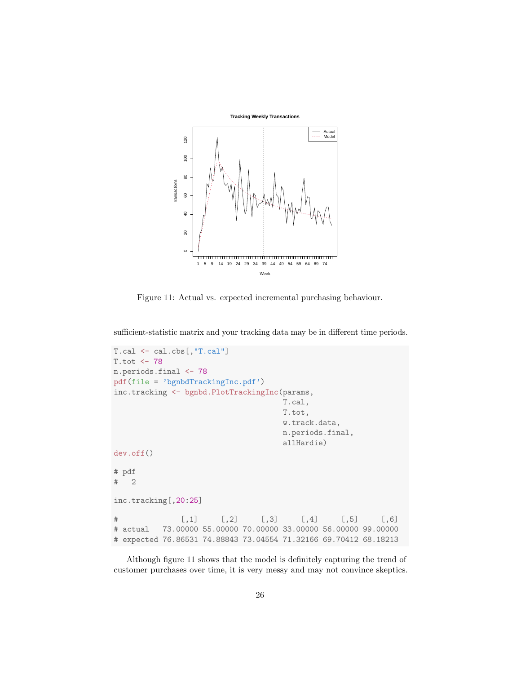

<span id="page-25-0"></span>Figure 11: Actual vs. expected incremental purchasing behaviour.

sufficient-statistic matrix and your tracking data may be in different time periods.

```
T.cal <- cal.cbs[,"T.cal"]
T.tot < -78n.periods.final <- 78
pdf(file = 'bgnbdTrackingInc.pdf')
inc.tracking <- bgnbd.PlotTrackingInc(params,
                                   T.cal,
                                   T.tot,
                                   w.track.data,
                                   n.periods.final,
                                   allHardie)
dev.off()
# pdf
# 2
inc.tracking[,20:25]
# [,1] [,2] [,3] [,4] [,5] [,6]
# actual 73.00000 55.00000 70.00000 33.00000 56.00000 99.00000
# expected 76.86531 74.88843 73.04554 71.32166 69.70412 68.18213
```
Although figure [11](#page-25-0) shows that the model is definitely capturing the trend of customer purchases over time, it is very messy and may not convince skeptics.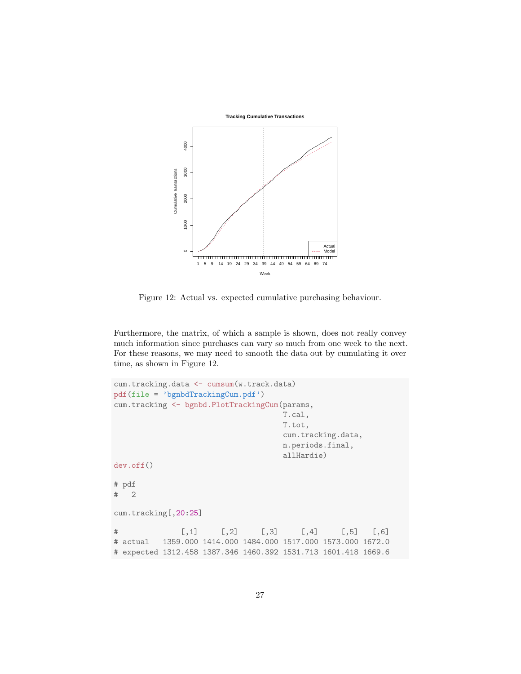

<span id="page-26-0"></span>Figure 12: Actual vs. expected cumulative purchasing behaviour.

Furthermore, the matrix, of which a sample is shown, does not really convey much information since purchases can vary so much from one week to the next. For these reasons, we may need to smooth the data out by cumulating it over time, as shown in Figure [12.](#page-26-0)

```
cum.tracking.data <- cumsum(w.track.data)
pdf(file = 'bgnbdTrackingCum.pdf')
cum.tracking <- bgnbd.PlotTrackingCum(params,
                                   T.cal,
                                   T.tot,
                                   cum.tracking.data,
                                   n.periods.final,
                                   allHardie)
dev.off()
# pdf
# 2
cum.tracking[,20:25]
# [,1] [,2] [,3] [,4] [,5] [,6]
# actual 1359.000 1414.000 1484.000 1517.000 1573.000 1672.0
# expected 1312.458 1387.346 1460.392 1531.713 1601.418 1669.6
```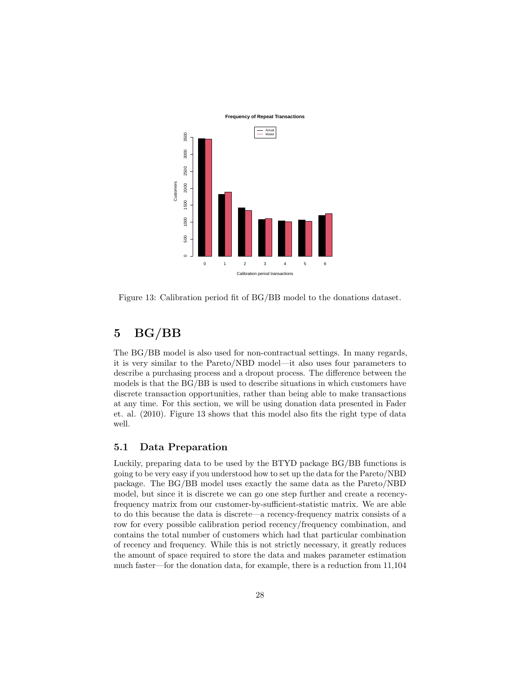

<span id="page-27-0"></span>Figure 13: Calibration period fit of BG/BB model to the donations dataset.

## 5 BG/BB

The BG/BB model is also used for non-contractual settings. In many regards, it is very similar to the Pareto/NBD model—it also uses four parameters to describe a purchasing process and a dropout process. The difference between the models is that the BG/BB is used to describe situations in which customers have discrete transaction opportunities, rather than being able to make transactions at any time. For this section, we will be using donation data presented in Fader et. al. (2010). Figure [13](#page-27-0) shows that this model also fits the right type of data well.

### 5.1 Data Preparation

Luckily, preparing data to be used by the BTYD package BG/BB functions is going to be very easy if you understood how to set up the data for the Pareto/NBD package. The BG/BB model uses exactly the same data as the Pareto/NBD model, but since it is discrete we can go one step further and create a recencyfrequency matrix from our customer-by-sufficient-statistic matrix. We are able to do this because the data is discrete—a recency-frequency matrix consists of a row for every possible calibration period recency/frequency combination, and contains the total number of customers which had that particular combination of recency and frequency. While this is not strictly necessary, it greatly reduces the amount of space required to store the data and makes parameter estimation much faster—for the donation data, for example, there is a reduction from 11,104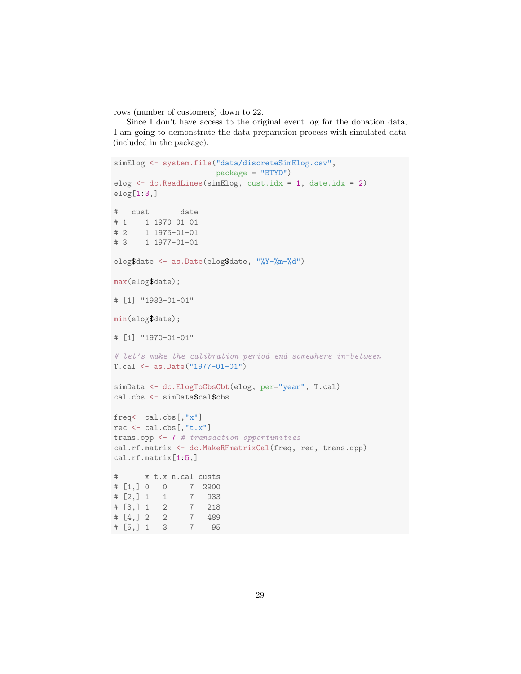rows (number of customers) down to 22.

Since I don't have access to the original event log for the donation data, I am going to demonstrate the data preparation process with simulated data (included in the package):

```
simElog <- system.file("data/discreteSimElog.csv",
                     package = "BTYD")
elog <- dc.ReadLines(simElog, cust.idx = 1, date.idx = 2)
elog[1:3,]
# cust date
# 1 1 1970-01-01
# 2 1 1975-01-01
# 3 1 1977-01-01
elog$date <- as.Date(elog$date, "%Y-%m-%d")
max(elog$date);
# [1] "1983-01-01"
min(elog$date);
# [1] "1970-01-01"
# let's make the calibration period end somewhere in-between
T.cal <- as.Date("1977-01-01")
simData <- dc.ElogToCbsCbt(elog, per="year", T.cal)
cal.cbs <- simData$cal$cbs
freq<- cal.cbs[,"x"]
rec \leq cal.cbs[,"t.x"]
trans.opp <- 7 # transaction opportunities
cal.rf.matrix <- dc.MakeRFmatrixCal(freq, rec, trans.opp)
cal.rf.matrix[1:5,]
# x t.x n.cal custs
# [1,] 0 0 7 2900
# [2,] 1 1 7 933
# [3,] 1 2 7 218
# [4,] 2 2 7 489
# [5,] 1 3 7 95
```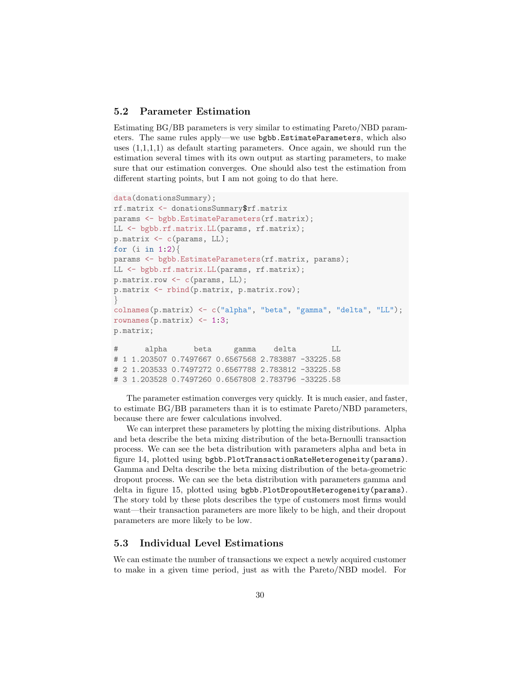## 5.2 Parameter Estimation

Estimating BG/BB parameters is very similar to estimating Pareto/NBD parameters. The same rules apply—we use bgbb.EstimateParameters, which also uses  $(1,1,1,1)$  as default starting parameters. Once again, we should run the estimation several times with its own output as starting parameters, to make sure that our estimation converges. One should also test the estimation from different starting points, but I am not going to do that here.

```
data(donationsSummary);
rf.matrix <- donationsSummary$rf.matrix
params <- bgbb.EstimateParameters(rf.matrix);
LL <- bgbb.rf.matrix.LL(params, rf.matrix);
p.matrix <- c(params, LL);
for (i \text{ in } 1:2)params <- bgbb.EstimateParameters(rf.matrix, params);
LL \leftarrow bgbb.rf.matrix.LL(params, rf.matrix);
p.matrix.row <- c(params, LL);
p.matrix <- rbind(p.matrix, p.matrix.row);
}
colnames(p.matrix) <- c("alpha", "beta", "gamma", "delta", "LL");
rownames(p.matrix) \leftarrow 1:3;
p.matrix;
# alpha beta gamma delta LL
# 1 1.203507 0.7497667 0.6567568 2.783887 -33225.58
# 2 1.203533 0.7497272 0.6567788 2.783812 -33225.58
# 3 1.203528 0.7497260 0.6567808 2.783796 -33225.58
```
The parameter estimation converges very quickly. It is much easier, and faster, to estimate BG/BB parameters than it is to estimate Pareto/NBD parameters, because there are fewer calculations involved.

We can interpret these parameters by plotting the mixing distributions. Alpha and beta describe the beta mixing distribution of the beta-Bernoulli transaction process. We can see the beta distribution with parameters alpha and beta in figure [14,](#page-30-0) plotted using bgbb.PlotTransactionRateHeterogeneity(params). Gamma and Delta describe the beta mixing distribution of the beta-geometric dropout process. We can see the beta distribution with parameters gamma and delta in figure [15,](#page-30-1) plotted using bgbb.PlotDropoutHeterogeneity(params). The story told by these plots describes the type of customers most firms would want—their transaction parameters are more likely to be high, and their dropout parameters are more likely to be low.

## 5.3 Individual Level Estimations

We can estimate the number of transactions we expect a newly acquired customer to make in a given time period, just as with the Pareto/NBD model. For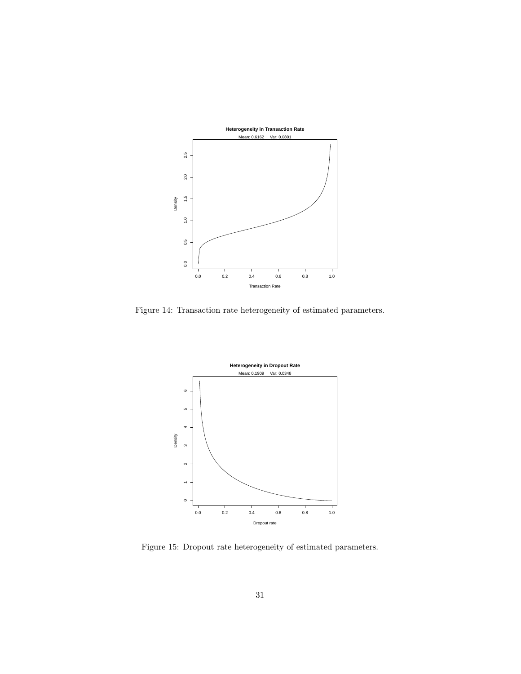

<span id="page-30-0"></span>Figure 14: Transaction rate heterogeneity of estimated parameters.



<span id="page-30-1"></span>Figure 15: Dropout rate heterogeneity of estimated parameters.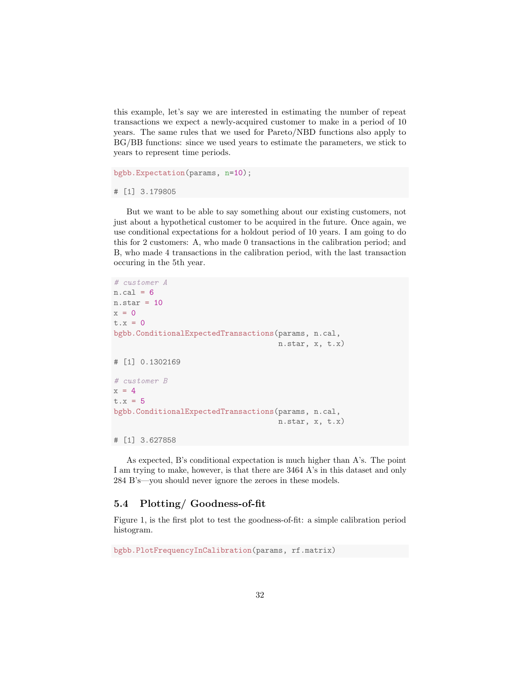this example, let's say we are interested in estimating the number of repeat transactions we expect a newly-acquired customer to make in a period of 10 years. The same rules that we used for Pareto/NBD functions also apply to BG/BB functions: since we used years to estimate the parameters, we stick to years to represent time periods.

```
bgbb.Expectation(params, n=10);
# [1] 3.179805
```
But we want to be able to say something about our existing customers, not just about a hypothetical customer to be acquired in the future. Once again, we use conditional expectations for a holdout period of 10 years. I am going to do this for 2 customers: A, who made 0 transactions in the calibration period; and B, who made 4 transactions in the calibration period, with the last transaction occuring in the 5th year.

```
# customer A
n.cal = 6n.star = 10x = 0t.x = 0bgbb.ConditionalExpectedTransactions(params, n.cal,
                                     n.star, x, t.x)
# [1] 0.1302169
# customer B
x = 4t.x = 5bgbb.ConditionalExpectedTransactions(params, n.cal,
                                     n.star, x, t.x)
# [1] 3.627858
```
As expected, B's conditional expectation is much higher than A's. The point I am trying to make, however, is that there are 3464 A's in this dataset and only 284 B's—you should never ignore the zeroes in these models.

### 5.4 Plotting/ Goodness-of-fit

Figure [1,](#page-1-1) is the first plot to test the goodness-of-fit: a simple calibration period histogram.

```
bgbb.PlotFrequencyInCalibration(params, rf.matrix)
```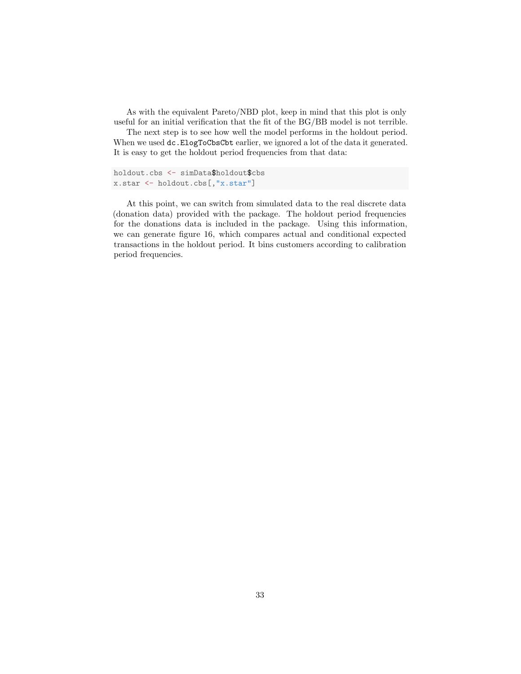As with the equivalent Pareto/NBD plot, keep in mind that this plot is only useful for an initial verification that the fit of the BG/BB model is not terrible.

The next step is to see how well the model performs in the holdout period. When we used  $dc$ . ElogToCbsCbt earlier, we ignored a lot of the data it generated. It is easy to get the holdout period frequencies from that data:

```
holdout.cbs <- simData$holdout$cbs
x.star <- holdout.cbs[,"x.star"]
```
At this point, we can switch from simulated data to the real discrete data (donation data) provided with the package. The holdout period frequencies for the donations data is included in the package. Using this information, we can generate figure [16,](#page-33-0) which compares actual and conditional expected transactions in the holdout period. It bins customers according to calibration period frequencies.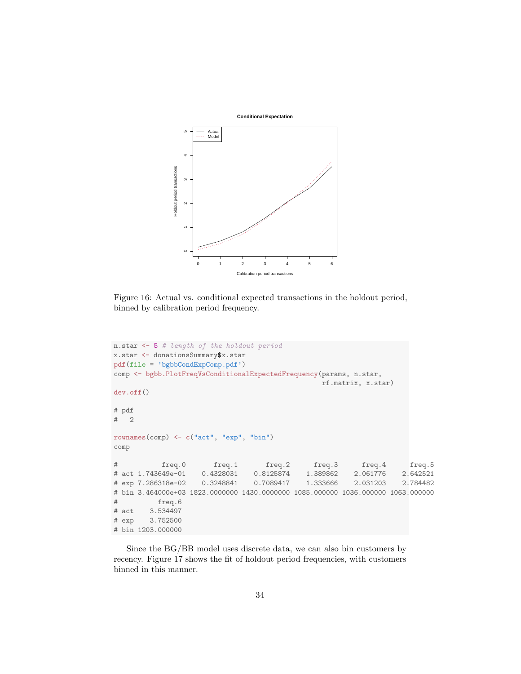

<span id="page-33-0"></span>Figure 16: Actual vs. conditional expected transactions in the holdout period, binned by calibration period frequency.

```
n.star <- 5 # length of the holdout period
x.star <- donationsSummary$x.star
pdf(file = 'bgbbCondExpComp.pdf')
comp <- bgbb.PlotFreqVsConditionalExpectedFrequency(params, n.star,
                                              rf.matrix, x.star)
dev.off()
# pdf
# 2
rownames(comp) <- c("act", "exp", "bin")
comp
# freq.0 freq.1 freq.2 freq.3 freq.4 freq.5
# act 1.743649e-01 0.4328031 0.8125874 1.389862 2.061776 2.642521
# exp 7.286318e-02 0.3248841 0.7089417 1.333666 2.031203 2.784482
# bin 3.464000e+03 1823.0000000 1430.0000000 1085.000000 1036.000000 1063.000000
# freq.6
# act 3.534497
# exp 3.752500
# bin 1203.000000
```
Since the BG/BB model uses discrete data, we can also bin customers by recency. Figure [17](#page-34-0) shows the fit of holdout period frequencies, with customers binned in this manner.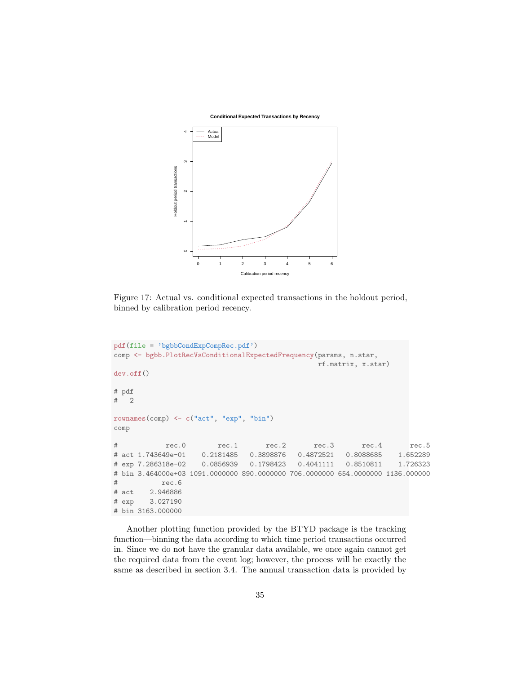**Conditional Expected Transactions by Recency**



<span id="page-34-0"></span>Figure 17: Actual vs. conditional expected transactions in the holdout period, binned by calibration period recency.

```
pdf(file = 'bgbbCondExpCompRec.pdf')
comp <- bgbb.PlotRecVsConditionalExpectedFrequency(params, n.star,
                                            rf.matrix, x.star)
dev.off()
# pdf
# 2
rownames(comp) <- c("act", "exp", "bin")
comp
# rec.0 rec.1 rec.2 rec.3 rec.4 rec.5
# act 1.743649e-01 0.2181485 0.3898876 0.4872521 0.8088685 1.652289
# exp 7.286318e-02 0.0856939 0.1798423 0.4041111 0.8510811 1.726323
# bin 3.464000e+03 1091.0000000 890.0000000 706.0000000 654.0000000 1136.000000
# rec.6
# act 2.946886
# exp 3.027190
# bin 3163.000000
```
Another plotting function provided by the BTYD package is the tracking function—binning the data according to which time period transactions occurred in. Since we do not have the granular data available, we once again cannot get the required data from the event log; however, the process will be exactly the same as described in section [3.4.](#page-9-0) The annual transaction data is provided by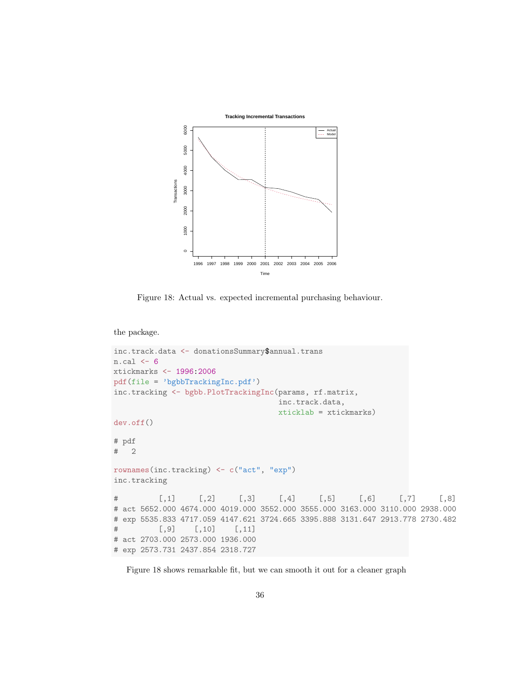

<span id="page-35-0"></span>Figure 18: Actual vs. expected incremental purchasing behaviour.

the package.

```
inc.track.data <- donationsSummary$annual.trans
n.cal < -6xtickmarks <- 1996:2006
pdf(file = 'bgbbTrackingInc.pdf')
inc.tracking <- bgbb.PlotTrackingInc(params, rf.matrix,
                                  inc.track.data,
                                  xticklab = xtickmarks)
dev.off()
# pdf
# 2
rownames(inc.tracking) <- c("act", "exp")
inc.tracking
# [,1] [,2] [,3] [,4] [,5] [,6] [,7] [,8]
# act 5652.000 4674.000 4019.000 3552.000 3555.000 3163.000 3110.000 2938.000
# exp 5535.833 4717.059 4147.621 3724.665 3395.888 3131.647 2913.778 2730.482
# [,9] [,10] [,11]
# act 2703.000 2573.000 1936.000
# exp 2573.731 2437.854 2318.727
```
Figure [18](#page-35-0) shows remarkable fit, but we can smooth it out for a cleaner graph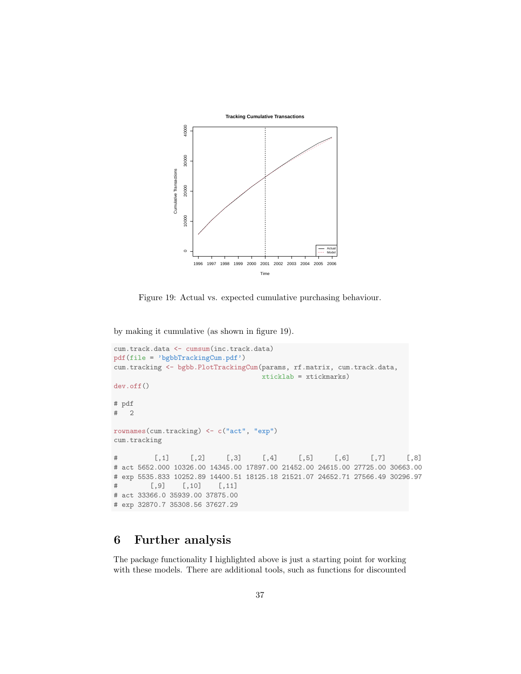

<span id="page-36-0"></span>Figure 19: Actual vs. expected cumulative purchasing behaviour.

by making it cumulative (as shown in figure [19\)](#page-36-0).

```
cum.track.data <- cumsum(inc.track.data)
pdf(file = 'bgbbTrackingCum.pdf')
cum.tracking <- bgbb.PlotTrackingCum(params, rf.matrix, cum.track.data,
                                  xticklab = xtickmarks)
dev.off()
# pdf
# 2
rownames(cum.tracking) <- c("act", "exp")
cum.tracking
# [,1] [,2] [,3] [,4] [,5] [,6] [,7] [,8]
# act 5652.000 10326.00 14345.00 17897.00 21452.00 24615.00 27725.00 30663.00
# exp 5535.833 10252.89 14400.51 18125.18 21521.07 24652.71 27566.49 30296.97
# [,9] [,10] [,11]
# act 33366.0 35939.00 37875.00
# exp 32870.7 35308.56 37627.29
```
## 6 Further analysis

The package functionality I highlighted above is just a starting point for working with these models. There are additional tools, such as functions for discounted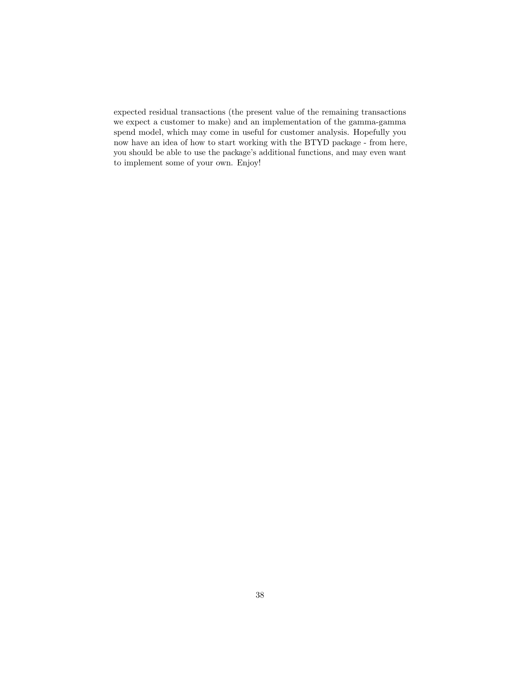expected residual transactions (the present value of the remaining transactions we expect a customer to make) and an implementation of the gamma-gamma spend model, which may come in useful for customer analysis. Hopefully you now have an idea of how to start working with the BTYD package - from here, you should be able to use the package's additional functions, and may even want to implement some of your own. Enjoy!